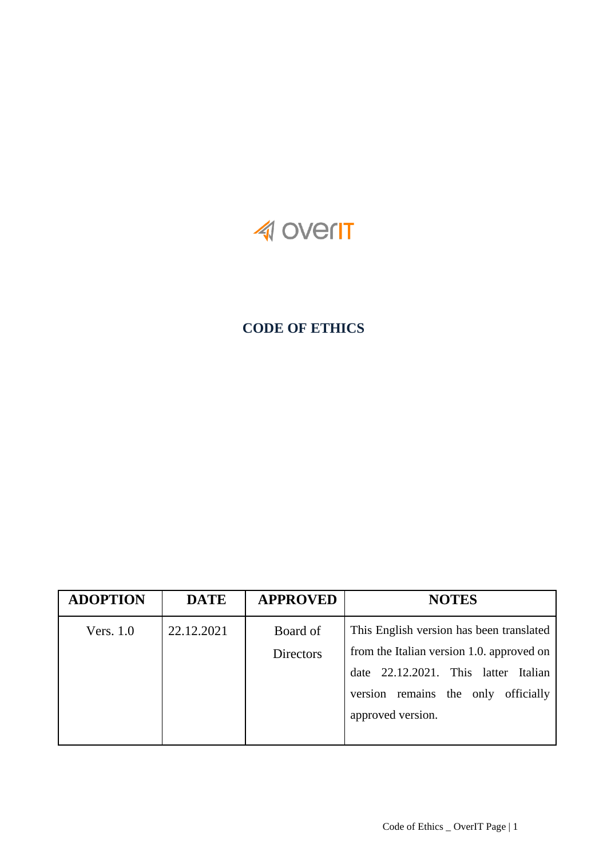

# **CODE OF ETHICS**

| <b>ADOPTION</b> | <b>DATE</b> | <b>APPROVED</b>  | <b>NOTES</b>                              |
|-----------------|-------------|------------------|-------------------------------------------|
| Vers. $1.0$     | 22.12.2021  | Board of         | This English version has been translated  |
|                 |             | <b>Directors</b> | from the Italian version 1.0. approved on |
|                 |             |                  | date 22.12.2021. This latter Italian      |
|                 |             |                  | officially<br>version remains the only    |
|                 |             |                  | approved version.                         |
|                 |             |                  |                                           |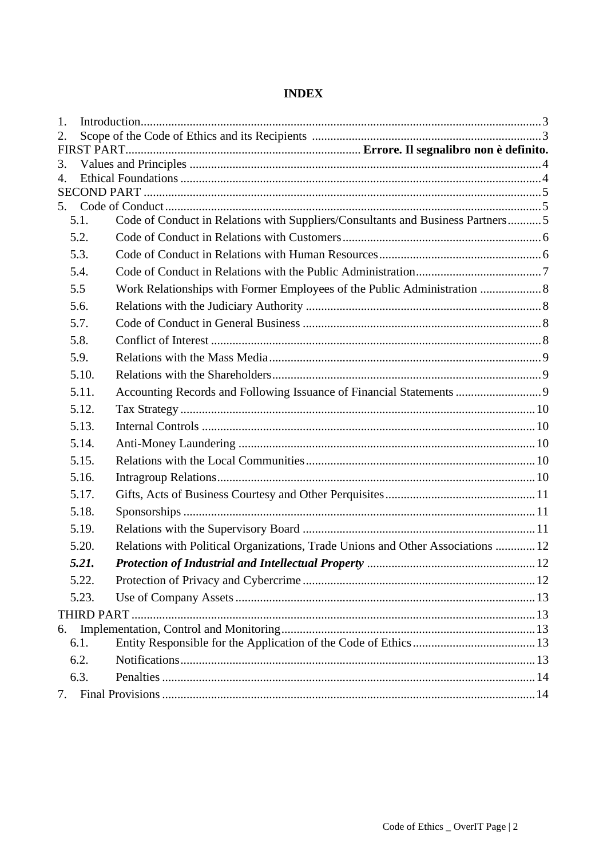|--|

| 1.                   |       |                                                                                 |  |
|----------------------|-------|---------------------------------------------------------------------------------|--|
| 2.                   |       |                                                                                 |  |
|                      |       |                                                                                 |  |
| 3.<br>$\mathbf{4}$ . |       |                                                                                 |  |
|                      |       |                                                                                 |  |
| 5.                   |       |                                                                                 |  |
|                      | 5.1.  | Code of Conduct in Relations with Suppliers/Consultants and Business Partners5  |  |
|                      | 5.2.  |                                                                                 |  |
|                      | 5.3.  |                                                                                 |  |
|                      | 5.4.  |                                                                                 |  |
|                      | 5.5   |                                                                                 |  |
|                      | 5.6.  |                                                                                 |  |
|                      | 5.7.  |                                                                                 |  |
|                      | 5.8.  |                                                                                 |  |
|                      | 5.9.  |                                                                                 |  |
|                      | 5.10. |                                                                                 |  |
|                      | 5.11. | Accounting Records and Following Issuance of Financial Statements  9            |  |
|                      | 5.12. |                                                                                 |  |
|                      | 5.13. |                                                                                 |  |
|                      | 5.14. |                                                                                 |  |
|                      | 5.15. |                                                                                 |  |
|                      | 5.16. |                                                                                 |  |
|                      | 5.17. |                                                                                 |  |
|                      | 5.18. |                                                                                 |  |
|                      | 5.19. |                                                                                 |  |
|                      | 5.20. | Relations with Political Organizations, Trade Unions and Other Associations  12 |  |
|                      | 5.21. |                                                                                 |  |
|                      | 5.22. |                                                                                 |  |
|                      | 5.23. |                                                                                 |  |
|                      |       |                                                                                 |  |
| 6.                   |       |                                                                                 |  |
|                      | 6.1.  |                                                                                 |  |
|                      | 6.2.  |                                                                                 |  |
|                      | 6.3.  |                                                                                 |  |
| 7.                   |       |                                                                                 |  |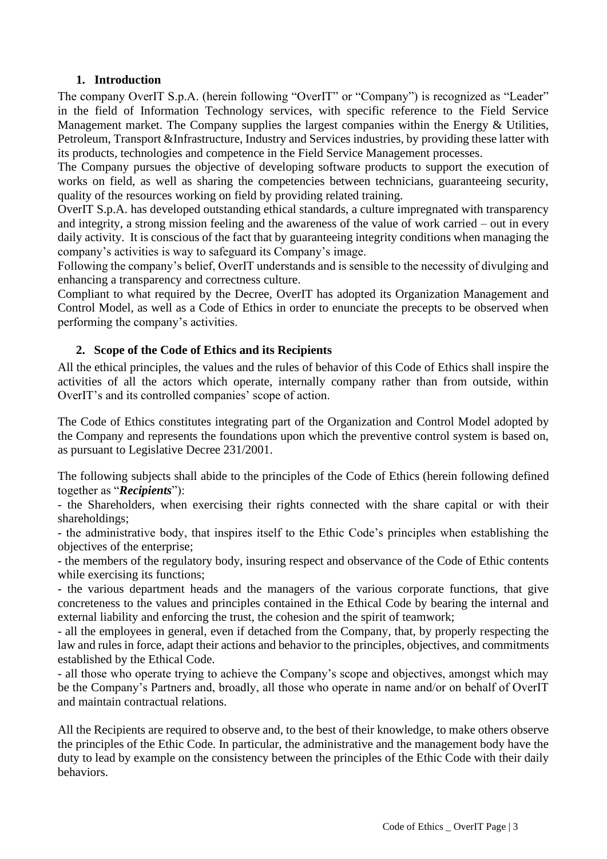# **1. Introduction**

<span id="page-2-0"></span>The company OverIT S.p.A. (herein following "OverIT" or "Company") is recognized as "Leader" in the field of Information Technology services, with specific reference to the Field Service Management market. The Company supplies the largest companies within the Energy & Utilities, Petroleum, Transport &Infrastructure, Industry and Services industries, by providing these latter with its products, technologies and competence in the Field Service Management processes.

The Company pursues the objective of developing software products to support the execution of works on field, as well as sharing the competencies between technicians, guaranteeing security, quality of the resources working on field by providing related training.

OverIT S.p.A. has developed outstanding ethical standards, a culture impregnated with transparency and integrity, a strong mission feeling and the awareness of the value of work carried – out in every daily activity. It is conscious of the fact that by guaranteeing integrity conditions when managing the company's activities is way to safeguard its Company's image.

Following the company's belief, OverIT understands and is sensible to the necessity of divulging and enhancing a transparency and correctness culture.

Compliant to what required by the Decree, OverIT has adopted its Organization Management and Control Model, as well as a Code of Ethics in order to enunciate the precepts to be observed when performing the company's activities.

# **2. Scope of the Code of Ethics and its Recipients**

<span id="page-2-1"></span>All the ethical principles, the values and the rules of behavior of this Code of Ethics shall inspire the activities of all the actors which operate, internally company rather than from outside, within OverIT's and its controlled companies' scope of action.

The Code of Ethics constitutes integrating part of the Organization and Control Model adopted by the Company and represents the foundations upon which the preventive control system is based on, as pursuant to Legislative Decree 231/2001.

The following subjects shall abide to the principles of the Code of Ethics (herein following defined together as "*Recipients*"):

- the Shareholders, when exercising their rights connected with the share capital or with their shareholdings;

- the administrative body, that inspires itself to the Ethic Code's principles when establishing the objectives of the enterprise;

- the members of the regulatory body, insuring respect and observance of the Code of Ethic contents while exercising its functions;

- the various department heads and the managers of the various corporate functions, that give concreteness to the values and principles contained in the Ethical Code by bearing the internal and external liability and enforcing the trust, the cohesion and the spirit of teamwork;

- all the employees in general, even if detached from the Company, that, by properly respecting the law and rules in force, adapt their actions and behavior to the principles, objectives, and commitments established by the Ethical Code.

- all those who operate trying to achieve the Company's scope and objectives, amongst which may be the Company's Partners and, broadly, all those who operate in name and/or on behalf of OverIT and maintain contractual relations.

All the Recipients are required to observe and, to the best of their knowledge, to make others observe the principles of the Ethic Code. In particular, the administrative and the management body have the duty to lead by example on the consistency between the principles of the Ethic Code with their daily behaviors.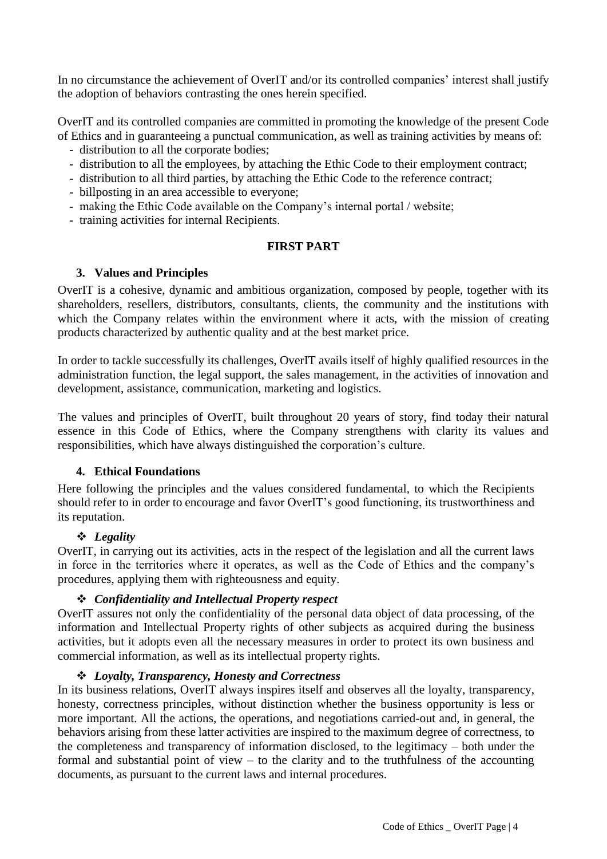In no circumstance the achievement of OverIT and/or its controlled companies' interest shall justify the adoption of behaviors contrasting the ones herein specified.

OverIT and its controlled companies are committed in promoting the knowledge of the present Code of Ethics and in guaranteeing a punctual communication, as well as training activities by means of:

- distribution to all the corporate bodies;
- distribution to all the employees, by attaching the Ethic Code to their employment contract;
- distribution to all third parties, by attaching the Ethic Code to the reference contract;
- billposting in an area accessible to everyone;
- making the Ethic Code available on the Company's internal portal / website;
- training activities for internal Recipients.

### **FIRST PART**

### <span id="page-3-0"></span>**3. Values and Principles**

OverIT is a cohesive, dynamic and ambitious organization, composed by people, together with its shareholders, resellers, distributors, consultants, clients, the community and the institutions with which the Company relates within the environment where it acts, with the mission of creating products characterized by authentic quality and at the best market price.

In order to tackle successfully its challenges, OverIT avails itself of highly qualified resources in the administration function, the legal support, the sales management, in the activities of innovation and development, assistance, communication, marketing and logistics.

The values and principles of OverIT, built throughout 20 years of story, find today their natural essence in this Code of Ethics, where the Company strengthens with clarity its values and responsibilities, which have always distinguished the corporation's culture.

#### <span id="page-3-1"></span>**4. Ethical Foundations**

Here following the principles and the values considered fundamental, to which the Recipients should refer to in order to encourage and favor OverIT's good functioning, its trustworthiness and its reputation.

#### ❖ *Legality*

OverIT, in carrying out its activities, acts in the respect of the legislation and all the current laws in force in the territories where it operates, as well as the Code of Ethics and the company's procedures, applying them with righteousness and equity.

#### ❖ *Confidentiality and Intellectual Property respect*

OverIT assures not only the confidentiality of the personal data object of data processing, of the information and Intellectual Property rights of other subjects as acquired during the business activities, but it adopts even all the necessary measures in order to protect its own business and commercial information, as well as its intellectual property rights.

#### ❖ *Loyalty, Transparency, Honesty and Correctness*

In its business relations, OverIT always inspires itself and observes all the loyalty, transparency, honesty, correctness principles, without distinction whether the business opportunity is less or more important. All the actions, the operations, and negotiations carried-out and, in general, the behaviors arising from these latter activities are inspired to the maximum degree of correctness, to the completeness and transparency of information disclosed, to the legitimacy – both under the formal and substantial point of view – to the clarity and to the truthfulness of the accounting documents, as pursuant to the current laws and internal procedures.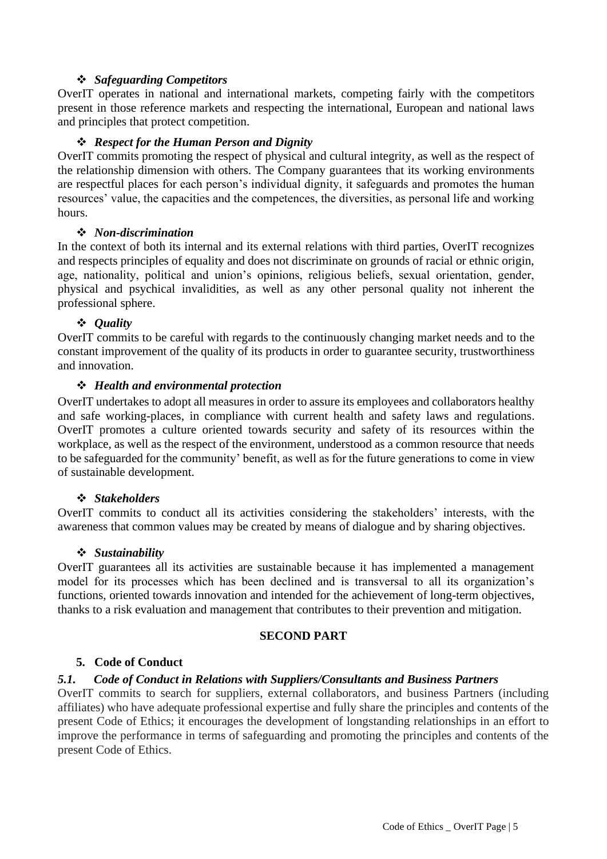# ❖ *Safeguarding Competitors*

OverIT operates in national and international markets, competing fairly with the competitors present in those reference markets and respecting the international, European and national laws and principles that protect competition.

### ❖ *Respect for the Human Person and Dignity*

OverIT commits promoting the respect of physical and cultural integrity, as well as the respect of the relationship dimension with others. The Company guarantees that its working environments are respectful places for each person's individual dignity, it safeguards and promotes the human resources' value, the capacities and the competences, the diversities, as personal life and working hours.

#### ❖ *Non-discrimination*

In the context of both its internal and its external relations with third parties, OverIT recognizes and respects principles of equality and does not discriminate on grounds of racial or ethnic origin, age, nationality, political and union's opinions, religious beliefs, sexual orientation, gender, physical and psychical invalidities, as well as any other personal quality not inherent the professional sphere.

#### ❖ *Quality*

OverIT commits to be careful with regards to the continuously changing market needs and to the constant improvement of the quality of its products in order to guarantee security, trustworthiness and innovation.

#### ❖ *Health and environmental protection*

OverIT undertakes to adopt all measures in order to assure its employees and collaborators healthy and safe working-places, in compliance with current health and safety laws and regulations. OverIT promotes a culture oriented towards security and safety of its resources within the workplace, as well as the respect of the environment, understood as a common resource that needs to be safeguarded for the community' benefit, as well as for the future generations to come in view of sustainable development.

#### ❖ *Stakeholders*

OverIT commits to conduct all its activities considering the stakeholders' interests, with the awareness that common values may be created by means of dialogue and by sharing objectives.

#### ❖ *Sustainability*

OverIT guarantees all its activities are sustainable because it has implemented a management model for its processes which has been declined and is transversal to all its organization's functions, oriented towards innovation and intended for the achievement of long-term objectives, thanks to a risk evaluation and management that contributes to their prevention and mitigation.

#### **SECOND PART**

#### <span id="page-4-1"></span><span id="page-4-0"></span>**5. Code of Conduct**

#### <span id="page-4-2"></span>*5.1. Code of Conduct in Relations with Suppliers/Consultants and Business Partners*

OverIT commits to search for suppliers, external collaborators, and business Partners (including affiliates) who have adequate professional expertise and fully share the principles and contents of the present Code of Ethics; it encourages the development of longstanding relationships in an effort to improve the performance in terms of safeguarding and promoting the principles and contents of the present Code of Ethics.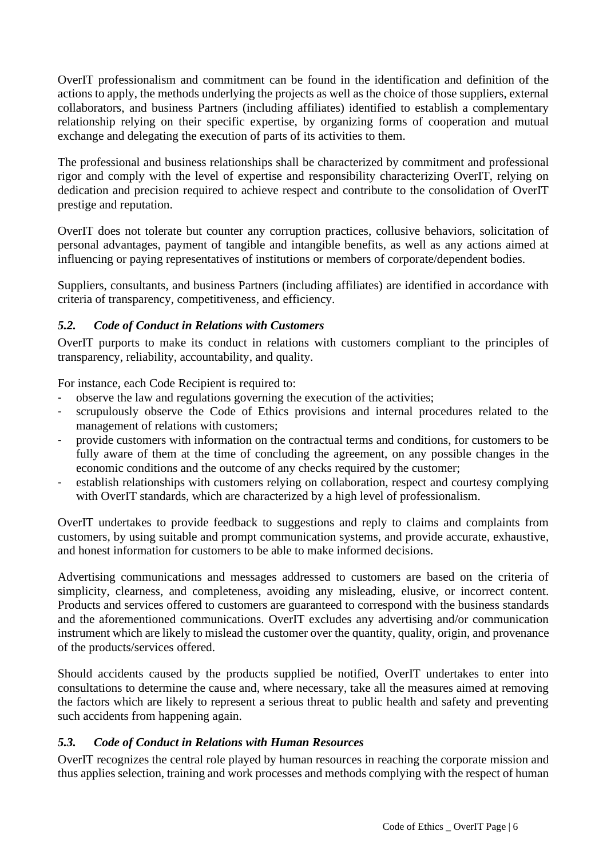OverIT professionalism and commitment can be found in the identification and definition of the actions to apply, the methods underlying the projects as well as the choice of those suppliers, external collaborators, and business Partners (including affiliates) identified to establish a complementary relationship relying on their specific expertise, by organizing forms of cooperation and mutual exchange and delegating the execution of parts of its activities to them.

The professional and business relationships shall be characterized by commitment and professional rigor and comply with the level of expertise and responsibility characterizing OverIT, relying on dedication and precision required to achieve respect and contribute to the consolidation of OverIT prestige and reputation.

OverIT does not tolerate but counter any corruption practices, collusive behaviors, solicitation of personal advantages, payment of tangible and intangible benefits, as well as any actions aimed at influencing or paying representatives of institutions or members of corporate/dependent bodies.

Suppliers, consultants, and business Partners (including affiliates) are identified in accordance with criteria of transparency, competitiveness, and efficiency.

# <span id="page-5-0"></span>*5.2. Code of Conduct in Relations with Customers*

OverIT purports to make its conduct in relations with customers compliant to the principles of transparency, reliability, accountability, and quality.

For instance, each Code Recipient is required to:

- observe the law and regulations governing the execution of the activities;
- scrupulously observe the Code of Ethics provisions and internal procedures related to the management of relations with customers;
- provide customers with information on the contractual terms and conditions, for customers to be fully aware of them at the time of concluding the agreement, on any possible changes in the economic conditions and the outcome of any checks required by the customer;
- establish relationships with customers relying on collaboration, respect and courtesy complying with OverIT standards, which are characterized by a high level of professionalism.

OverIT undertakes to provide feedback to suggestions and reply to claims and complaints from customers, by using suitable and prompt communication systems, and provide accurate, exhaustive, and honest information for customers to be able to make informed decisions.

Advertising communications and messages addressed to customers are based on the criteria of simplicity, clearness, and completeness, avoiding any misleading, elusive, or incorrect content. Products and services offered to customers are guaranteed to correspond with the business standards and the aforementioned communications. OverIT excludes any advertising and/or communication instrument which are likely to mislead the customer over the quantity, quality, origin, and provenance of the products/services offered.

Should accidents caused by the products supplied be notified, OverIT undertakes to enter into consultations to determine the cause and, where necessary, take all the measures aimed at removing the factors which are likely to represent a serious threat to public health and safety and preventing such accidents from happening again.

# <span id="page-5-1"></span>*5.3. Code of Conduct in Relations with Human Resources*

OverIT recognizes the central role played by human resources in reaching the corporate mission and thus applies selection, training and work processes and methods complying with the respect of human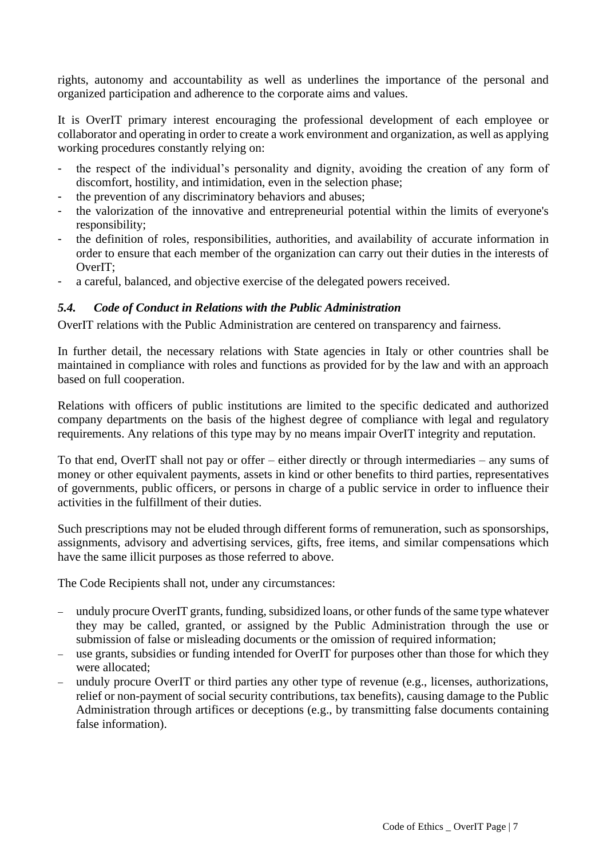rights, autonomy and accountability as well as underlines the importance of the personal and organized participation and adherence to the corporate aims and values.

It is OverIT primary interest encouraging the professional development of each employee or collaborator and operating in order to create a work environment and organization, as well as applying working procedures constantly relying on:

- the respect of the individual's personality and dignity, avoiding the creation of any form of discomfort, hostility, and intimidation, even in the selection phase;
- the prevention of any discriminatory behaviors and abuses;
- the valorization of the innovative and entrepreneurial potential within the limits of everyone's responsibility;
- the definition of roles, responsibilities, authorities, and availability of accurate information in order to ensure that each member of the organization can carry out their duties in the interests of OverIT;
- a careful, balanced, and objective exercise of the delegated powers received.

# <span id="page-6-0"></span>*5.4. Code of Conduct in Relations with the Public Administration*

OverIT relations with the Public Administration are centered on transparency and fairness.

In further detail, the necessary relations with State agencies in Italy or other countries shall be maintained in compliance with roles and functions as provided for by the law and with an approach based on full cooperation.

Relations with officers of public institutions are limited to the specific dedicated and authorized company departments on the basis of the highest degree of compliance with legal and regulatory requirements. Any relations of this type may by no means impair OverIT integrity and reputation.

To that end, OverIT shall not pay or offer – either directly or through intermediaries – any sums of money or other equivalent payments, assets in kind or other benefits to third parties, representatives of governments, public officers, or persons in charge of a public service in order to influence their activities in the fulfillment of their duties.

Such prescriptions may not be eluded through different forms of remuneration, such as sponsorships, assignments, advisory and advertising services, gifts, free items, and similar compensations which have the same illicit purposes as those referred to above.

The Code Recipients shall not, under any circumstances:

- − unduly procure OverIT grants, funding, subsidized loans, or other funds of the same type whatever they may be called, granted, or assigned by the Public Administration through the use or submission of false or misleading documents or the omission of required information;
- − use grants, subsidies or funding intended for OverIT for purposes other than those for which they were allocated;
- − unduly procure OverIT or third parties any other type of revenue (e.g., licenses, authorizations, relief or non-payment of social security contributions, tax benefits), causing damage to the Public Administration through artifices or deceptions (e.g., by transmitting false documents containing false information).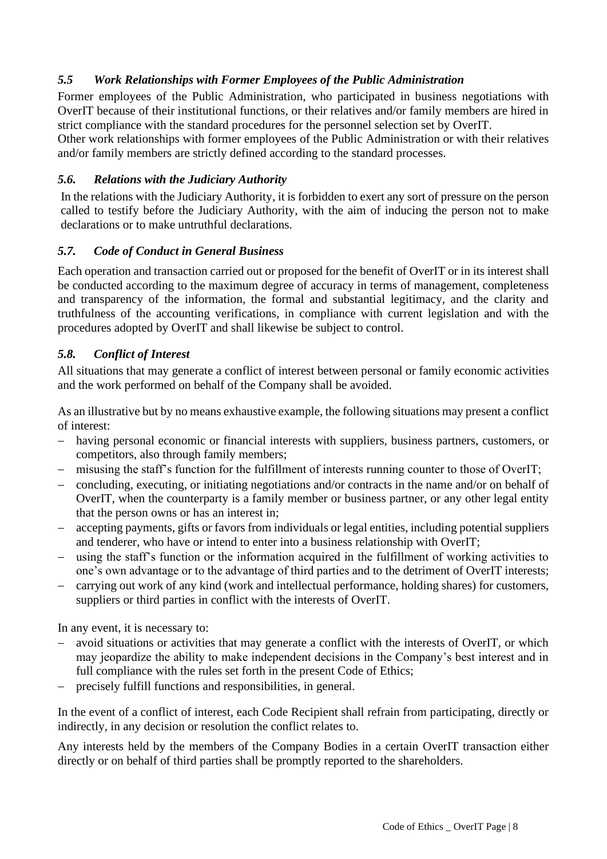# <span id="page-7-0"></span>*5.5 Work Relationships with Former Employees of the Public Administration*

Former employees of the Public Administration, who participated in business negotiations with OverIT because of their institutional functions, or their relatives and/or family members are hired in strict compliance with the standard procedures for the personnel selection set by OverIT.

Other work relationships with former employees of the Public Administration or with their relatives and/or family members are strictly defined according to the standard processes.

# <span id="page-7-1"></span>*5.6. Relations with the Judiciary Authority*

In the relations with the Judiciary Authority, it is forbidden to exert any sort of pressure on the person called to testify before the Judiciary Authority, with the aim of inducing the person not to make declarations or to make untruthful declarations.

# <span id="page-7-2"></span>*5.7. Code of Conduct in General Business*

Each operation and transaction carried out or proposed for the benefit of OverIT or in its interest shall be conducted according to the maximum degree of accuracy in terms of management, completeness and transparency of the information, the formal and substantial legitimacy, and the clarity and truthfulness of the accounting verifications, in compliance with current legislation and with the procedures adopted by OverIT and shall likewise be subject to control.

### <span id="page-7-3"></span>*5.8. Conflict of Interest*

All situations that may generate a conflict of interest between personal or family economic activities and the work performed on behalf of the Company shall be avoided.

As an illustrative but by no means exhaustive example, the following situations may present a conflict of interest:

- − having personal economic or financial interests with suppliers, business partners, customers, or competitors, also through family members;
- − misusing the staff's function for the fulfillment of interests running counter to those of OverIT;
- − concluding, executing, or initiating negotiations and/or contracts in the name and/or on behalf of OverIT, when the counterparty is a family member or business partner, or any other legal entity that the person owns or has an interest in;
- − accepting payments, gifts or favors from individuals or legal entities, including potential suppliers and tenderer, who have or intend to enter into a business relationship with OverIT;
- − using the staff's function or the information acquired in the fulfillment of working activities to one's own advantage or to the advantage of third parties and to the detriment of OverIT interests;
- − carrying out work of any kind (work and intellectual performance, holding shares) for customers, suppliers or third parties in conflict with the interests of OverIT.

In any event, it is necessary to:

- avoid situations or activities that may generate a conflict with the interests of OverIT, or which may jeopardize the ability to make independent decisions in the Company's best interest and in full compliance with the rules set forth in the present Code of Ethics;
- precisely fulfill functions and responsibilities, in general.

In the event of a conflict of interest, each Code Recipient shall refrain from participating, directly or indirectly, in any decision or resolution the conflict relates to.

Any interests held by the members of the Company Bodies in a certain OverIT transaction either directly or on behalf of third parties shall be promptly reported to the shareholders.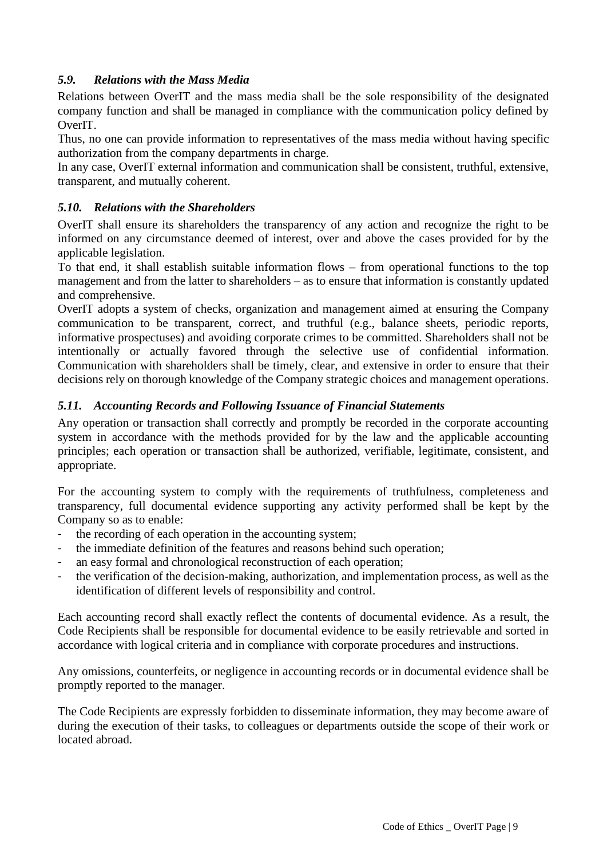# <span id="page-8-0"></span>*5.9. Relations with the Mass Media*

Relations between OverIT and the mass media shall be the sole responsibility of the designated company function and shall be managed in compliance with the communication policy defined by OverIT.

Thus, no one can provide information to representatives of the mass media without having specific authorization from the company departments in charge.

In any case, OverIT external information and communication shall be consistent, truthful, extensive, transparent, and mutually coherent.

# <span id="page-8-1"></span>*5.10. Relations with the Shareholders*

OverIT shall ensure its shareholders the transparency of any action and recognize the right to be informed on any circumstance deemed of interest, over and above the cases provided for by the applicable legislation.

To that end, it shall establish suitable information flows – from operational functions to the top management and from the latter to shareholders – as to ensure that information is constantly updated and comprehensive.

OverIT adopts a system of checks, organization and management aimed at ensuring the Company communication to be transparent, correct, and truthful (e.g., balance sheets, periodic reports, informative prospectuses) and avoiding corporate crimes to be committed. Shareholders shall not be intentionally or actually favored through the selective use of confidential information. Communication with shareholders shall be timely, clear, and extensive in order to ensure that their decisions rely on thorough knowledge of the Company strategic choices and management operations.

# <span id="page-8-2"></span>*5.11. Accounting Records and Following Issuance of Financial Statements*

Any operation or transaction shall correctly and promptly be recorded in the corporate accounting system in accordance with the methods provided for by the law and the applicable accounting principles; each operation or transaction shall be authorized, verifiable, legitimate, consistent, and appropriate.

For the accounting system to comply with the requirements of truthfulness, completeness and transparency, full documental evidence supporting any activity performed shall be kept by the Company so as to enable:

- the recording of each operation in the accounting system;
- the immediate definition of the features and reasons behind such operation;
- an easy formal and chronological reconstruction of each operation;
- the verification of the decision-making, authorization, and implementation process, as well as the identification of different levels of responsibility and control.

Each accounting record shall exactly reflect the contents of documental evidence. As a result, the Code Recipients shall be responsible for documental evidence to be easily retrievable and sorted in accordance with logical criteria and in compliance with corporate procedures and instructions.

Any omissions, counterfeits, or negligence in accounting records or in documental evidence shall be promptly reported to the manager.

The Code Recipients are expressly forbidden to disseminate information, they may become aware of during the execution of their tasks, to colleagues or departments outside the scope of their work or located abroad.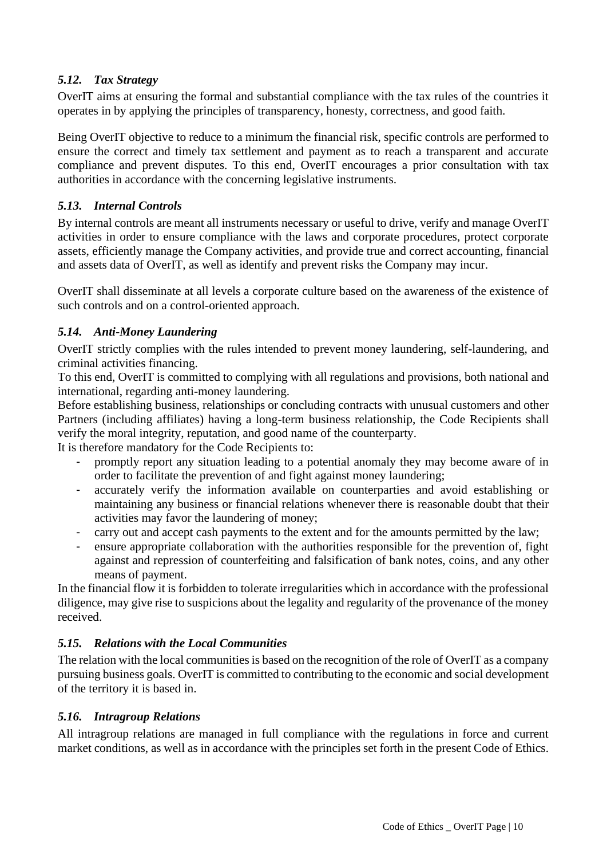# <span id="page-9-0"></span>*5.12. Tax Strategy*

OverIT aims at ensuring the formal and substantial compliance with the tax rules of the countries it operates in by applying the principles of transparency, honesty, correctness, and good faith.

Being OverIT objective to reduce to a minimum the financial risk, specific controls are performed to ensure the correct and timely tax settlement and payment as to reach a transparent and accurate compliance and prevent disputes. To this end, OverIT encourages a prior consultation with tax authorities in accordance with the concerning legislative instruments.

#### <span id="page-9-1"></span>*5.13. Internal Controls*

By internal controls are meant all instruments necessary or useful to drive, verify and manage OverIT activities in order to ensure compliance with the laws and corporate procedures, protect corporate assets, efficiently manage the Company activities, and provide true and correct accounting, financial and assets data of OverIT, as well as identify and prevent risks the Company may incur.

OverIT shall disseminate at all levels a corporate culture based on the awareness of the existence of such controls and on a control-oriented approach.

# <span id="page-9-2"></span>*5.14. Anti-Money Laundering*

OverIT strictly complies with the rules intended to prevent money laundering, self-laundering, and criminal activities financing.

To this end, OverIT is committed to complying with all regulations and provisions, both national and international, regarding anti-money laundering.

Before establishing business, relationships or concluding contracts with unusual customers and other Partners (including affiliates) having a long-term business relationship, the Code Recipients shall verify the moral integrity, reputation, and good name of the counterparty.

It is therefore mandatory for the Code Recipients to:

- promptly report any situation leading to a potential anomaly they may become aware of in order to facilitate the prevention of and fight against money laundering;
- accurately verify the information available on counterparties and avoid establishing or maintaining any business or financial relations whenever there is reasonable doubt that their activities may favor the laundering of money;
- carry out and accept cash payments to the extent and for the amounts permitted by the law;
- ensure appropriate collaboration with the authorities responsible for the prevention of, fight against and repression of counterfeiting and falsification of bank notes, coins, and any other means of payment.

In the financial flow it is forbidden to tolerate irregularities which in accordance with the professional diligence, may give rise to suspicions about the legality and regularity of the provenance of the money received.

# <span id="page-9-3"></span>*5.15. Relations with the Local Communities*

The relation with the local communities is based on the recognition of the role of OverIT as a company pursuing business goals. OverIT is committed to contributing to the economic and social development of the territory it is based in.

#### <span id="page-9-4"></span>*5.16. Intragroup Relations*

All intragroup relations are managed in full compliance with the regulations in force and current market conditions, as well as in accordance with the principles set forth in the present Code of Ethics.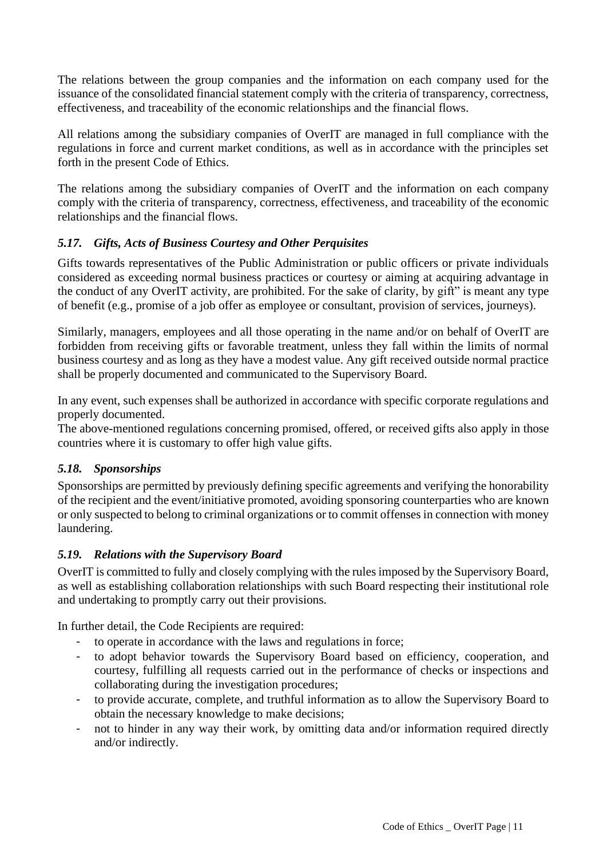The relations between the group companies and the information on each company used for the issuance of the consolidated financial statement comply with the criteria of transparency, correctness, effectiveness, and traceability of the economic relationships and the financial flows.

All relations among the subsidiary companies of OverIT are managed in full compliance with the regulations in force and current market conditions, as well as in accordance with the principles set forth in the present Code of Ethics.

The relations among the subsidiary companies of OverIT and the information on each company comply with the criteria of transparency, correctness, effectiveness, and traceability of the economic relationships and the financial flows.

# <span id="page-10-0"></span>*5.17. Gifts, Acts of Business Courtesy and Other Perquisites*

Gifts towards representatives of the Public Administration or public officers or private individuals considered as exceeding normal business practices or courtesy or aiming at acquiring advantage in the conduct of any OverIT activity, are prohibited. For the sake of clarity, by gift" is meant any type of benefit (e.g., promise of a job offer as employee or consultant, provision of services, journeys).

Similarly, managers, employees and all those operating in the name and/or on behalf of OverIT are forbidden from receiving gifts or favorable treatment, unless they fall within the limits of normal business courtesy and as long as they have a modest value. Any gift received outside normal practice shall be properly documented and communicated to the Supervisory Board.

In any event, such expenses shall be authorized in accordance with specific corporate regulations and properly documented.

The above-mentioned regulations concerning promised, offered, or received gifts also apply in those countries where it is customary to offer high value gifts.

# <span id="page-10-1"></span>*5.18. Sponsorships*

Sponsorships are permitted by previously defining specific agreements and verifying the honorability of the recipient and the event/initiative promoted, avoiding sponsoring counterparties who are known or only suspected to belong to criminal organizations or to commit offenses in connection with money laundering.

# <span id="page-10-2"></span>*5.19. Relations with the Supervisory Board*

OverIT is committed to fully and closely complying with the rules imposed by the Supervisory Board, as well as establishing collaboration relationships with such Board respecting their institutional role and undertaking to promptly carry out their provisions.

In further detail, the Code Recipients are required:

- to operate in accordance with the laws and regulations in force;
- to adopt behavior towards the Supervisory Board based on efficiency, cooperation, and courtesy, fulfilling all requests carried out in the performance of checks or inspections and collaborating during the investigation procedures;
- to provide accurate, complete, and truthful information as to allow the Supervisory Board to obtain the necessary knowledge to make decisions;
- not to hinder in any way their work, by omitting data and/or information required directly and/or indirectly.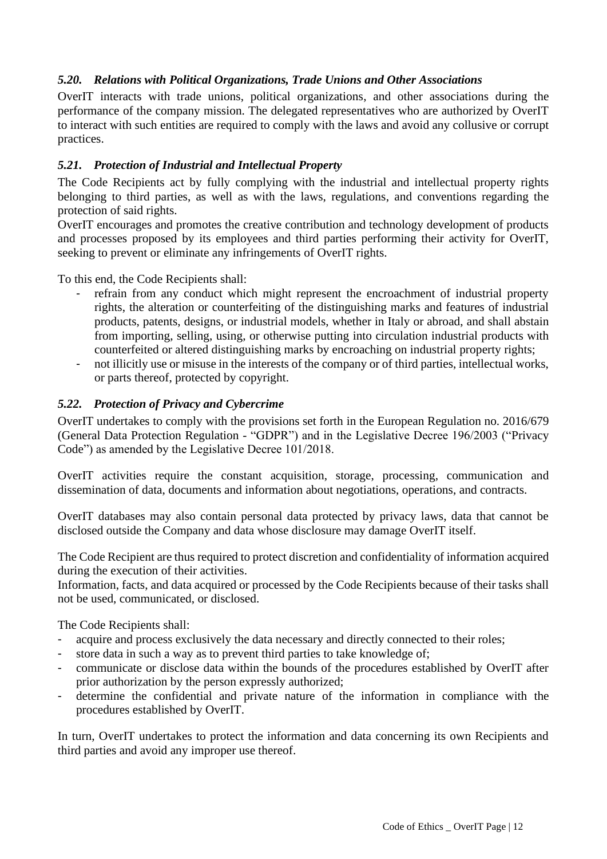# <span id="page-11-0"></span>*5.20. Relations with Political Organizations, Trade Unions and Other Associations*

OverIT interacts with trade unions, political organizations, and other associations during the performance of the company mission. The delegated representatives who are authorized by OverIT to interact with such entities are required to comply with the laws and avoid any collusive or corrupt practices.

# <span id="page-11-1"></span>*5.21. Protection of Industrial and Intellectual Property*

The Code Recipients act by fully complying with the industrial and intellectual property rights belonging to third parties, as well as with the laws, regulations, and conventions regarding the protection of said rights.

OverIT encourages and promotes the creative contribution and technology development of products and processes proposed by its employees and third parties performing their activity for OverIT, seeking to prevent or eliminate any infringements of OverIT rights.

To this end, the Code Recipients shall:

- refrain from any conduct which might represent the encroachment of industrial property rights, the alteration or counterfeiting of the distinguishing marks and features of industrial products, patents, designs, or industrial models, whether in Italy or abroad, and shall abstain from importing, selling, using, or otherwise putting into circulation industrial products with counterfeited or altered distinguishing marks by encroaching on industrial property rights;
- not illicitly use or misuse in the interests of the company or of third parties, intellectual works, or parts thereof, protected by copyright.

### <span id="page-11-2"></span>*5.22. Protection of Privacy and Cybercrime*

OverIT undertakes to comply with the provisions set forth in the European Regulation no. 2016/679 (General Data Protection Regulation - "GDPR") and in the Legislative Decree 196/2003 ("Privacy Code") as amended by the Legislative Decree 101/2018.

OverIT activities require the constant acquisition, storage, processing, communication and dissemination of data, documents and information about negotiations, operations, and contracts.

OverIT databases may also contain personal data protected by privacy laws, data that cannot be disclosed outside the Company and data whose disclosure may damage OverIT itself.

The Code Recipient are thus required to protect discretion and confidentiality of information acquired during the execution of their activities.

Information, facts, and data acquired or processed by the Code Recipients because of their tasks shall not be used, communicated, or disclosed.

The Code Recipients shall:

- acquire and process exclusively the data necessary and directly connected to their roles;
- store data in such a way as to prevent third parties to take knowledge of;
- communicate or disclose data within the bounds of the procedures established by OverIT after prior authorization by the person expressly authorized;
- determine the confidential and private nature of the information in compliance with the procedures established by OverIT.

In turn, OverIT undertakes to protect the information and data concerning its own Recipients and third parties and avoid any improper use thereof.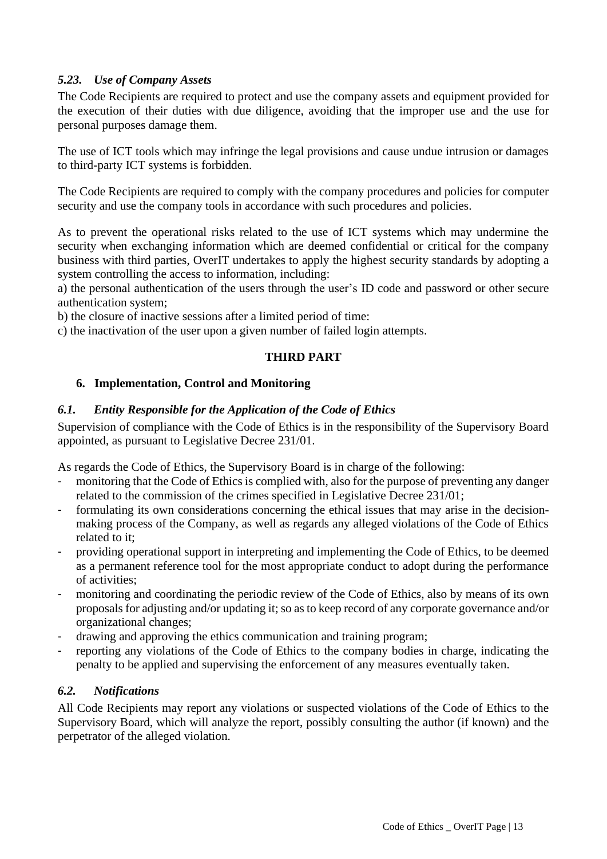# <span id="page-12-0"></span>*5.23. Use of Company Assets*

The Code Recipients are required to protect and use the company assets and equipment provided for the execution of their duties with due diligence, avoiding that the improper use and the use for personal purposes damage them.

The use of ICT tools which may infringe the legal provisions and cause undue intrusion or damages to third-party ICT systems is forbidden.

The Code Recipients are required to comply with the company procedures and policies for computer security and use the company tools in accordance with such procedures and policies.

As to prevent the operational risks related to the use of ICT systems which may undermine the security when exchanging information which are deemed confidential or critical for the company business with third parties, OverIT undertakes to apply the highest security standards by adopting a system controlling the access to information, including:

a) the personal authentication of the users through the user's ID code and password or other secure authentication system;

b) the closure of inactive sessions after a limited period of time:

<span id="page-12-1"></span>c) the inactivation of the user upon a given number of failed login attempts.

# **THIRD PART**

# <span id="page-12-2"></span>**6. Implementation, Control and Monitoring**

# <span id="page-12-3"></span>*6.1. Entity Responsible for the Application of the Code of Ethics*

Supervision of compliance with the Code of Ethics is in the responsibility of the Supervisory Board appointed, as pursuant to Legislative Decree 231/01.

As regards the Code of Ethics, the Supervisory Board is in charge of the following:

- monitoring that the Code of Ethics is complied with, also for the purpose of preventing any danger related to the commission of the crimes specified in Legislative Decree 231/01;
- formulating its own considerations concerning the ethical issues that may arise in the decisionmaking process of the Company, as well as regards any alleged violations of the Code of Ethics related to it;
- providing operational support in interpreting and implementing the Code of Ethics, to be deemed as a permanent reference tool for the most appropriate conduct to adopt during the performance of activities;
- monitoring and coordinating the periodic review of the Code of Ethics, also by means of its own proposals for adjusting and/or updating it; so as to keep record of any corporate governance and/or organizational changes;
- drawing and approving the ethics communication and training program;
- reporting any violations of the Code of Ethics to the company bodies in charge, indicating the penalty to be applied and supervising the enforcement of any measures eventually taken.

# <span id="page-12-4"></span>*6.2. Notifications*

All Code Recipients may report any violations or suspected violations of the Code of Ethics to the Supervisory Board, which will analyze the report, possibly consulting the author (if known) and the perpetrator of the alleged violation.